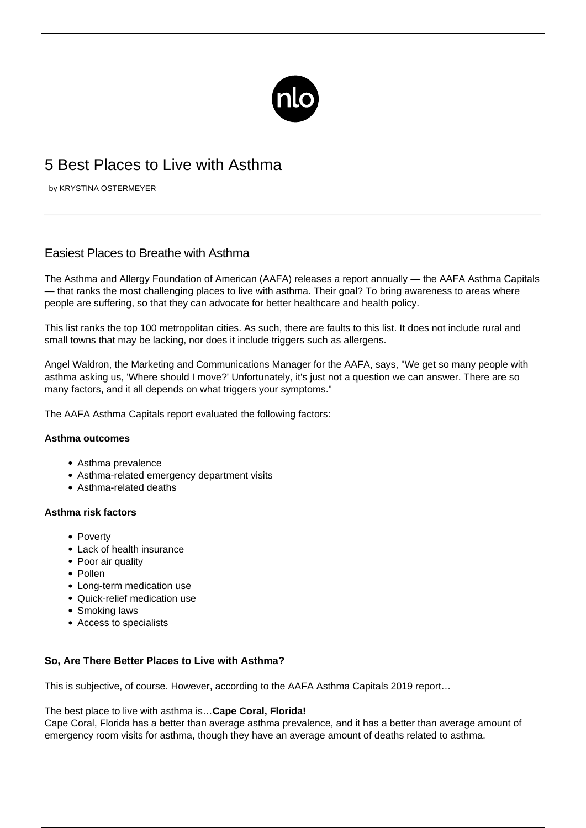

# 5 Best Places to Live with Asthma

by KRYSTINA OSTERMEYER

# Easiest Places to Breathe with Asthma

The Asthma and Allergy Foundation of American (AAFA) releases a report annually — the AAFA Asthma Capitals — that ranks the most challenging places to live with asthma. Their goal? To bring awareness to areas where people are suffering, so that they can advocate for better healthcare and health policy.

This list ranks the top 100 metropolitan cities. As such, there are faults to this list. It does not include rural and small towns that may be lacking, nor does it include triggers such as allergens.

Angel Waldron, the Marketing and Communications Manager for the AAFA, says, "We get so many people with asthma asking us, 'Where should I move?' Unfortunately, it's just not a question we can answer. There are so many factors, and it all depends on what triggers your symptoms."

The AAFA Asthma Capitals report evaluated the following factors:

# **Asthma outcomes**

- Asthma prevalence
- Asthma-related emergency department visits
- Asthma-related deaths

# **Asthma risk factors**

- Poverty
- Lack of health insurance
- Poor air quality
- Pollen
- Long-term medication use
- Quick-relief medication use
- Smoking laws
- Access to specialists

# **So, Are There Better Places to Live with Asthma?**

This is subjective, of course. However, according to the [AAFA Asthma Capitals 2019 report](https://www.aafa.org/asthma-capitals/)…

The best place to live with asthma is…**Cape Coral, Florida!**

Cape Coral, Florida has a better than average asthma prevalence, and it has a better than average amount of emergency room visits for asthma, though they have an average amount of deaths related to asthma.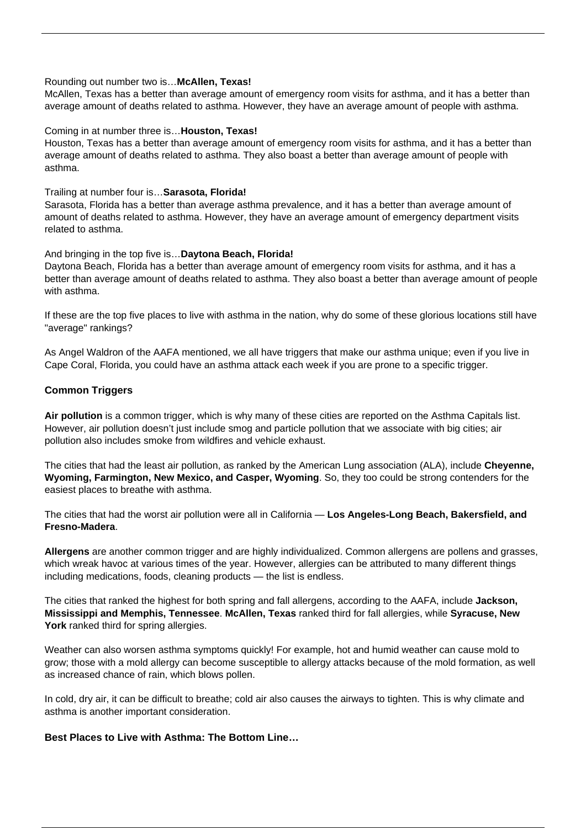#### Rounding out number two is…**McAllen, Texas!**

McAllen, Texas has a better than average amount of emergency room visits for asthma, and it has a better than average amount of deaths related to asthma. However, they have an average amount of people with asthma.

#### Coming in at number three is…**Houston, Texas!**

Houston, Texas has a better than average amount of emergency room visits for asthma, and it has a better than average amount of deaths related to asthma. They also boast a better than average amount of people with asthma.

### Trailing at number four is…**Sarasota, Florida!**

Sarasota, Florida has a better than average asthma prevalence, and it has a better than average amount of amount of deaths related to asthma. However, they have an average amount of emergency department visits related to asthma.

#### And bringing in the top five is…**Daytona Beach, Florida!**

Daytona Beach, Florida has a better than average amount of emergency room visits for asthma, and it has a better than average amount of deaths related to asthma. They also boast a better than average amount of people with asthma.

If these are the top five places to live with asthma in the nation, why do some of these glorious locations still have "average" rankings?

As Angel Waldron of the AAFA mentioned, we all have triggers that make our asthma unique; even if you live in Cape Coral, Florida, you could have an asthma attack each week if you are prone to a specific trigger.

# **Common Triggers**

**Air pollution** is a common trigger, which is why many of these cities are reported on the Asthma Capitals list. However, air pollution doesn't just include smog and particle pollution that we associate with big cities; air pollution also includes smoke from wildfires and vehicle exhaust.

The cities that had the least air pollution, as ranked by the American Lung association (ALA), include **Cheyenne, Wyoming, Farmington, New Mexico, and Casper, Wyoming**. So, they too could be strong contenders for the easiest places to breathe with asthma.

The cities that had the worst air pollution were all in California — **Los Angeles-Long Beach, Bakersfield, and Fresno-Madera**.

**[Allergens](/allergic-asthma/)** [are another common trigger](/allergic-asthma/) and are highly individualized. Common allergens are pollens and grasses, which wreak havoc at various times of the year. However, allergies can be attributed to many different things including medications, foods, cleaning products — the list is endless.

The cities that ranked the highest for both spring and fall allergens, according to the AAFA, include **Jackson, Mississippi and Memphis, Tennessee**. **McAllen, Texas** ranked third for fall allergies, while **Syracuse, New York** ranked third for spring allergies.

Weather can also worsen asthma symptoms quickly! For example, hot and humid weather can cause mold to grow; those with a mold allergy can become susceptible to allergy attacks because of the mold formation, as well as increased chance of rain, which blows pollen.

In cold, dry air, it can be difficult to breathe; cold air also causes the airways to tighten. This is why climate and asthma is another important consideration.

# **Best Places to Live with Asthma: The Bottom Line…**